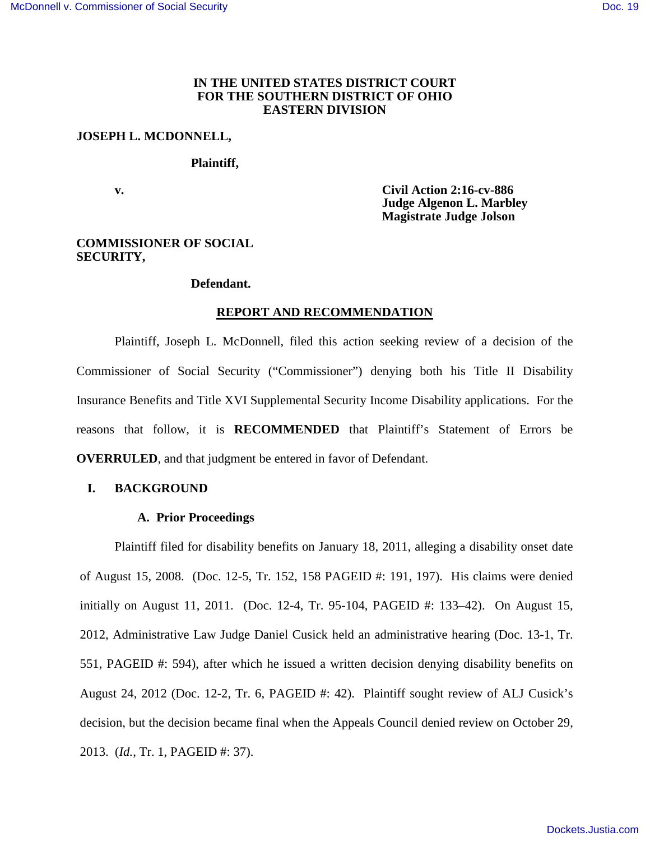# **IN THE UNITED STATES DISTRICT COURT FOR THE SOUTHERN DISTRICT OF OHIO EASTERN DIVISION**

## **JOSEPH L. MCDONNELL,**

## **Plaintiff,**

 **v. Civil Action 2:16-cv-886 Judge Algenon L. Marbley Magistrate Judge Jolson** 

# **COMMISSIONER OF SOCIAL SECURITY,**

### **Defendant.**

### **REPORT AND RECOMMENDATION**

Plaintiff, Joseph L. McDonnell, filed this action seeking review of a decision of the Commissioner of Social Security ("Commissioner") denying both his Title II Disability Insurance Benefits and Title XVI Supplemental Security Income Disability applications. For the reasons that follow, it is **RECOMMENDED** that Plaintiff's Statement of Errors be **OVERRULED**, and that judgment be entered in favor of Defendant.

### **I. BACKGROUND**

### **A. Prior Proceedings**

Plaintiff filed for disability benefits on January 18, 2011, alleging a disability onset date of August 15, 2008. (Doc. 12-5, Tr. 152, 158 PAGEID #: 191, 197). His claims were denied initially on August 11, 2011. (Doc. 12-4, Tr. 95-104, PAGEID #: 133–42). On August 15, 2012, Administrative Law Judge Daniel Cusick held an administrative hearing (Doc. 13-1, Tr. 551, PAGEID #: 594), after which he issued a written decision denying disability benefits on August 24, 2012 (Doc. 12-2, Tr. 6, PAGEID #: 42). Plaintiff sought review of ALJ Cusick's decision, but the decision became final when the Appeals Council denied review on October 29, 2013. (*Id.*, Tr. 1, PAGEID #: 37).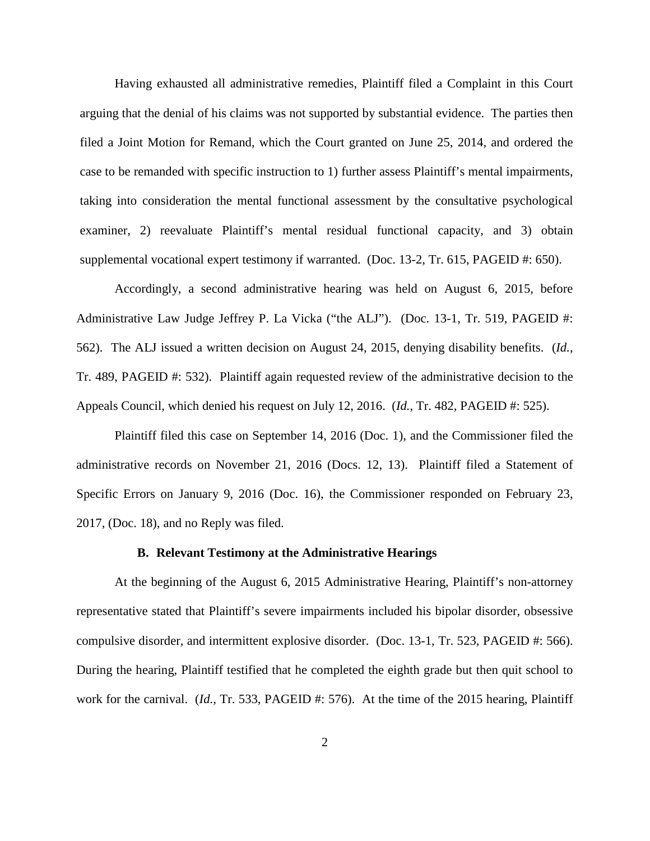Having exhausted all administrative remedies, Plaintiff filed a Complaint in this Court arguing that the denial of his claims was not supported by substantial evidence. The parties then filed a Joint Motion for Remand, which the Court granted on June 25, 2014, and ordered the case to be remanded with specific instruction to 1) further assess Plaintiff's mental impairments, taking into consideration the mental functional assessment by the consultative psychological examiner, 2) reevaluate Plaintiff's mental residual functional capacity, and 3) obtain supplemental vocational expert testimony if warranted. (Doc. 13-2, Tr. 615, PAGEID #: 650).

Accordingly, a second administrative hearing was held on August 6, 2015, before Administrative Law Judge Jeffrey P. La Vicka ("the ALJ"). (Doc. 13-1, Tr. 519, PAGEID #: 562). The ALJ issued a written decision on August 24, 2015, denying disability benefits. (*Id.*, Tr. 489, PAGEID #: 532). Plaintiff again requested review of the administrative decision to the Appeals Council, which denied his request on July 12, 2016. (*Id.*, Tr. 482, PAGEID #: 525).

Plaintiff filed this case on September 14, 2016 (Doc. 1), and the Commissioner filed the administrative records on November 21, 2016 (Docs. 12, 13). Plaintiff filed a Statement of Specific Errors on January 9, 2016 (Doc. 16), the Commissioner responded on February 23, 2017, (Doc. 18), and no Reply was filed.

## **B. Relevant Testimony at the Administrative Hearings**

At the beginning of the August 6, 2015 Administrative Hearing, Plaintiff's non-attorney representative stated that Plaintiff's severe impairments included his bipolar disorder, obsessive compulsive disorder, and intermittent explosive disorder. (Doc. 13-1, Tr. 523, PAGEID #: 566). During the hearing, Plaintiff testified that he completed the eighth grade but then quit school to work for the carnival. (*Id.*, Tr. 533, PAGEID #: 576). At the time of the 2015 hearing, Plaintiff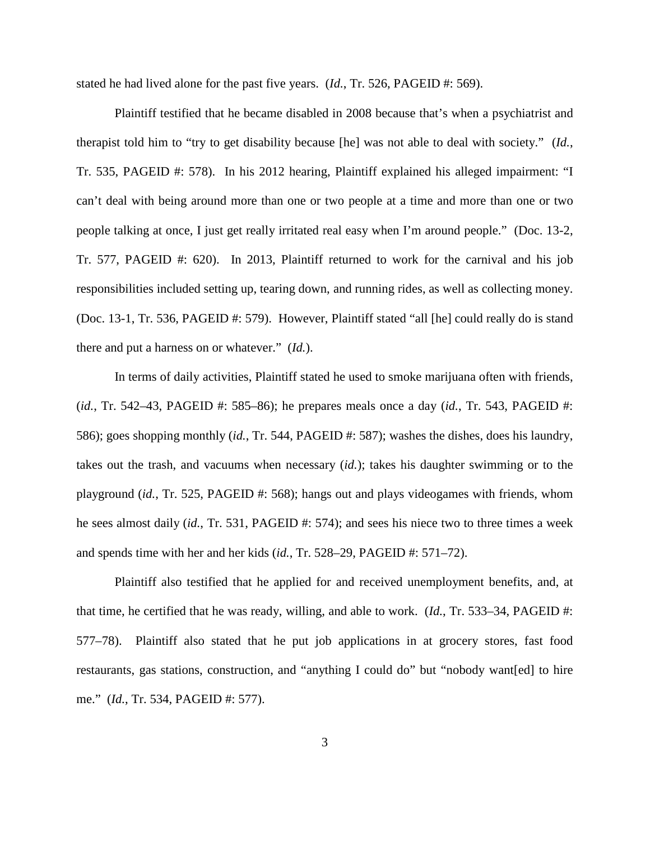stated he had lived alone for the past five years. (*Id.*, Tr. 526, PAGEID #: 569).

Plaintiff testified that he became disabled in 2008 because that's when a psychiatrist and therapist told him to "try to get disability because [he] was not able to deal with society." (*Id.*, Tr. 535, PAGEID #: 578). In his 2012 hearing, Plaintiff explained his alleged impairment: "I can't deal with being around more than one or two people at a time and more than one or two people talking at once, I just get really irritated real easy when I'm around people." (Doc. 13-2, Tr. 577, PAGEID #: 620). In 2013, Plaintiff returned to work for the carnival and his job responsibilities included setting up, tearing down, and running rides, as well as collecting money. (Doc. 13-1, Tr. 536, PAGEID #: 579). However, Plaintiff stated "all [he] could really do is stand there and put a harness on or whatever." (*Id.*).

In terms of daily activities, Plaintiff stated he used to smoke marijuana often with friends, (*id.*, Tr. 542–43, PAGEID #: 585–86); he prepares meals once a day (*id.*, Tr. 543, PAGEID #: 586); goes shopping monthly (*id.*, Tr. 544, PAGEID #: 587); washes the dishes, does his laundry, takes out the trash, and vacuums when necessary (*id.*); takes his daughter swimming or to the playground (*id.*, Tr. 525, PAGEID #: 568); hangs out and plays videogames with friends, whom he sees almost daily (*id.*, Tr. 531, PAGEID #: 574); and sees his niece two to three times a week and spends time with her and her kids (*id.*, Tr. 528–29, PAGEID #: 571–72).

Plaintiff also testified that he applied for and received unemployment benefits, and, at that time, he certified that he was ready, willing, and able to work. (*Id.*, Tr. 533–34, PAGEID #: 577–78). Plaintiff also stated that he put job applications in at grocery stores, fast food restaurants, gas stations, construction, and "anything I could do" but "nobody want[ed] to hire me." (*Id.*, Tr. 534, PAGEID #: 577).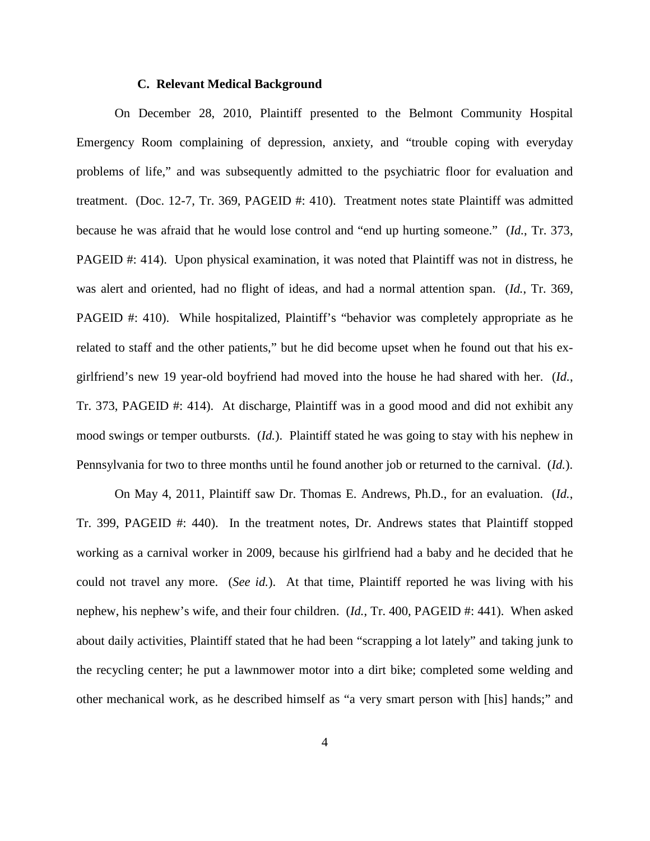# **C. Relevant Medical Background**

On December 28, 2010, Plaintiff presented to the Belmont Community Hospital Emergency Room complaining of depression, anxiety, and "trouble coping with everyday problems of life," and was subsequently admitted to the psychiatric floor for evaluation and treatment. (Doc. 12-7, Tr. 369, PAGEID #: 410). Treatment notes state Plaintiff was admitted because he was afraid that he would lose control and "end up hurting someone." (*Id.*, Tr. 373, PAGEID #: 414). Upon physical examination, it was noted that Plaintiff was not in distress, he was alert and oriented, had no flight of ideas, and had a normal attention span. (*Id.*, Tr. 369, PAGEID #: 410). While hospitalized, Plaintiff's "behavior was completely appropriate as he related to staff and the other patients," but he did become upset when he found out that his exgirlfriend's new 19 year-old boyfriend had moved into the house he had shared with her. (*Id.*, Tr. 373, PAGEID #: 414). At discharge, Plaintiff was in a good mood and did not exhibit any mood swings or temper outbursts. (*Id.*). Plaintiff stated he was going to stay with his nephew in Pennsylvania for two to three months until he found another job or returned to the carnival. (*Id.*).

On May 4, 2011, Plaintiff saw Dr. Thomas E. Andrews, Ph.D., for an evaluation. (*Id.*, Tr. 399, PAGEID #: 440). In the treatment notes, Dr. Andrews states that Plaintiff stopped working as a carnival worker in 2009, because his girlfriend had a baby and he decided that he could not travel any more. (*See id.*). At that time, Plaintiff reported he was living with his nephew, his nephew's wife, and their four children. (*Id.*, Tr. 400, PAGEID #: 441). When asked about daily activities, Plaintiff stated that he had been "scrapping a lot lately" and taking junk to the recycling center; he put a lawnmower motor into a dirt bike; completed some welding and other mechanical work, as he described himself as "a very smart person with [his] hands;" and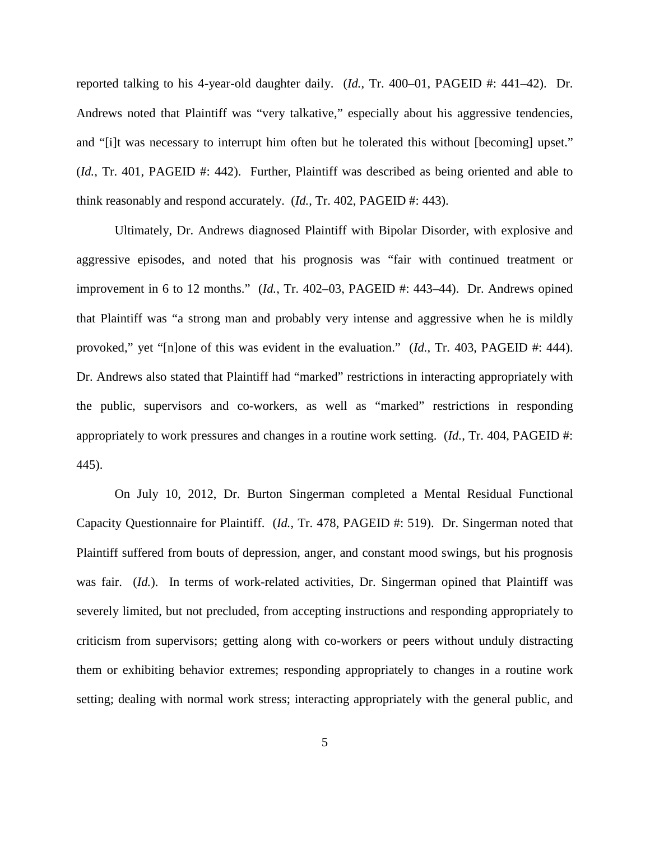reported talking to his 4-year-old daughter daily. (*Id.*, Tr. 400–01, PAGEID #: 441–42). Dr. Andrews noted that Plaintiff was "very talkative," especially about his aggressive tendencies, and "[i]t was necessary to interrupt him often but he tolerated this without [becoming] upset." (*Id.*, Tr. 401, PAGEID #: 442). Further, Plaintiff was described as being oriented and able to think reasonably and respond accurately. (*Id.*, Tr. 402, PAGEID #: 443).

Ultimately, Dr. Andrews diagnosed Plaintiff with Bipolar Disorder, with explosive and aggressive episodes, and noted that his prognosis was "fair with continued treatment or improvement in 6 to 12 months." (*Id.*, Tr. 402–03, PAGEID #: 443–44). Dr. Andrews opined that Plaintiff was "a strong man and probably very intense and aggressive when he is mildly provoked," yet "[n]one of this was evident in the evaluation." (*Id.*, Tr. 403, PAGEID #: 444). Dr. Andrews also stated that Plaintiff had "marked" restrictions in interacting appropriately with the public, supervisors and co-workers, as well as "marked" restrictions in responding appropriately to work pressures and changes in a routine work setting. (*Id.*, Tr. 404, PAGEID #: 445).

On July 10, 2012, Dr. Burton Singerman completed a Mental Residual Functional Capacity Questionnaire for Plaintiff. (*Id.*, Tr. 478, PAGEID #: 519). Dr. Singerman noted that Plaintiff suffered from bouts of depression, anger, and constant mood swings, but his prognosis was fair. (*Id.*). In terms of work-related activities, Dr. Singerman opined that Plaintiff was severely limited, but not precluded, from accepting instructions and responding appropriately to criticism from supervisors; getting along with co-workers or peers without unduly distracting them or exhibiting behavior extremes; responding appropriately to changes in a routine work setting; dealing with normal work stress; interacting appropriately with the general public, and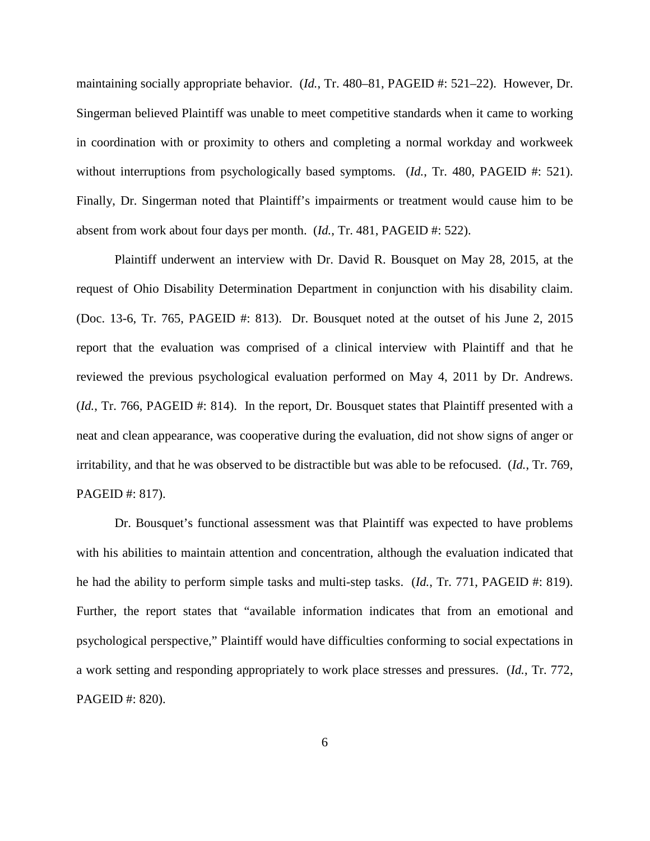maintaining socially appropriate behavior. (*Id.*, Tr. 480–81, PAGEID #: 521–22). However, Dr. Singerman believed Plaintiff was unable to meet competitive standards when it came to working in coordination with or proximity to others and completing a normal workday and workweek without interruptions from psychologically based symptoms. (*Id.*, Tr. 480, PAGEID #: 521). Finally, Dr. Singerman noted that Plaintiff's impairments or treatment would cause him to be absent from work about four days per month. (*Id.*, Tr. 481, PAGEID #: 522).

Plaintiff underwent an interview with Dr. David R. Bousquet on May 28, 2015, at the request of Ohio Disability Determination Department in conjunction with his disability claim. (Doc. 13-6, Tr. 765, PAGEID #: 813). Dr. Bousquet noted at the outset of his June 2, 2015 report that the evaluation was comprised of a clinical interview with Plaintiff and that he reviewed the previous psychological evaluation performed on May 4, 2011 by Dr. Andrews. (*Id.*, Tr. 766, PAGEID #: 814). In the report, Dr. Bousquet states that Plaintiff presented with a neat and clean appearance, was cooperative during the evaluation, did not show signs of anger or irritability, and that he was observed to be distractible but was able to be refocused. (*Id.*, Tr. 769, PAGEID #: 817).

Dr. Bousquet's functional assessment was that Plaintiff was expected to have problems with his abilities to maintain attention and concentration, although the evaluation indicated that he had the ability to perform simple tasks and multi-step tasks. (*Id.*, Tr. 771, PAGEID #: 819). Further, the report states that "available information indicates that from an emotional and psychological perspective," Plaintiff would have difficulties conforming to social expectations in a work setting and responding appropriately to work place stresses and pressures. (*Id.*, Tr. 772, PAGEID #: 820).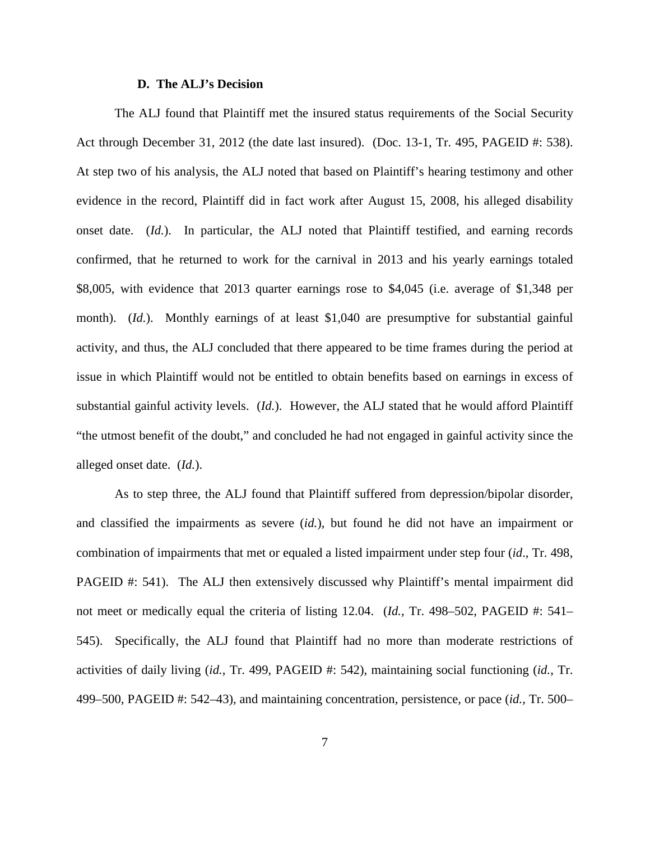# **D. The ALJ's Decision**

The ALJ found that Plaintiff met the insured status requirements of the Social Security Act through December 31, 2012 (the date last insured). (Doc. 13-1, Tr. 495, PAGEID #: 538). At step two of his analysis, the ALJ noted that based on Plaintiff's hearing testimony and other evidence in the record, Plaintiff did in fact work after August 15, 2008, his alleged disability onset date. (*Id.*). In particular, the ALJ noted that Plaintiff testified, and earning records confirmed, that he returned to work for the carnival in 2013 and his yearly earnings totaled \$8,005, with evidence that 2013 quarter earnings rose to \$4,045 (i.e. average of \$1,348 per month). *(Id.)*. Monthly earnings of at least \$1,040 are presumptive for substantial gainful activity, and thus, the ALJ concluded that there appeared to be time frames during the period at issue in which Plaintiff would not be entitled to obtain benefits based on earnings in excess of substantial gainful activity levels. (*Id.*). However, the ALJ stated that he would afford Plaintiff "the utmost benefit of the doubt," and concluded he had not engaged in gainful activity since the alleged onset date. (*Id.*).

As to step three, the ALJ found that Plaintiff suffered from depression/bipolar disorder, and classified the impairments as severe (*id.*), but found he did not have an impairment or combination of impairments that met or equaled a listed impairment under step four (*id*., Tr. 498, PAGEID #: 541). The ALJ then extensively discussed why Plaintiff's mental impairment did not meet or medically equal the criteria of listing 12.04. (*Id.*, Tr. 498–502, PAGEID #: 541– 545). Specifically, the ALJ found that Plaintiff had no more than moderate restrictions of activities of daily living (*id.*, Tr. 499, PAGEID #: 542), maintaining social functioning (*id.*, Tr. 499–500, PAGEID #: 542–43), and maintaining concentration, persistence, or pace (*id.*, Tr. 500–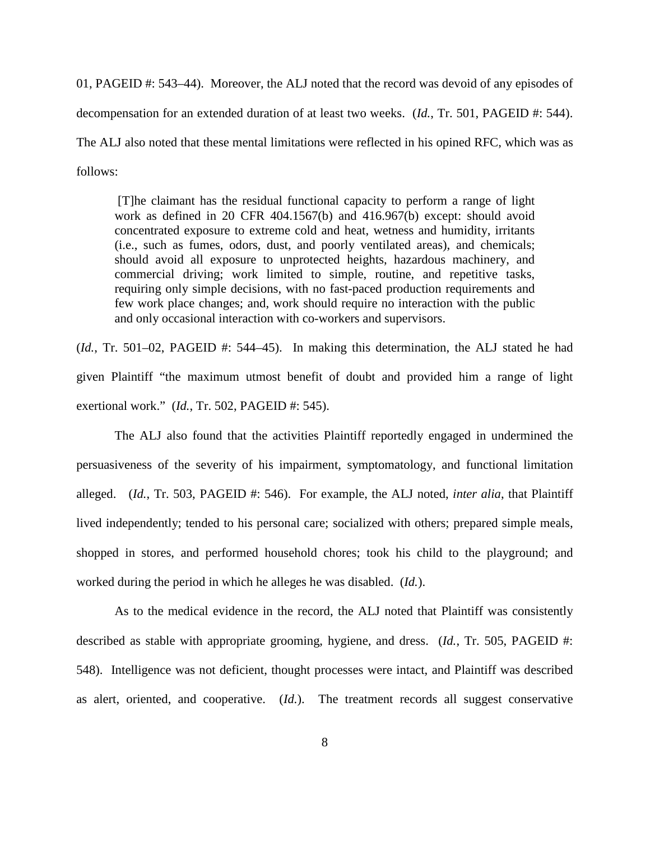01, PAGEID #: 543–44). Moreover, the ALJ noted that the record was devoid of any episodes of decompensation for an extended duration of at least two weeks. (*Id.*, Tr. 501, PAGEID #: 544). The ALJ also noted that these mental limitations were reflected in his opined RFC, which was as follows:

[T]he claimant has the residual functional capacity to perform a range of light work as defined in 20 CFR 404.1567(b) and 416.967(b) except: should avoid concentrated exposure to extreme cold and heat, wetness and humidity, irritants (i.e., such as fumes, odors, dust, and poorly ventilated areas), and chemicals; should avoid all exposure to unprotected heights, hazardous machinery, and commercial driving; work limited to simple, routine, and repetitive tasks, requiring only simple decisions, with no fast-paced production requirements and few work place changes; and, work should require no interaction with the public and only occasional interaction with co-workers and supervisors.

(*Id.*, Tr. 501–02, PAGEID #: 544–45). In making this determination, the ALJ stated he had given Plaintiff "the maximum utmost benefit of doubt and provided him a range of light exertional work." (*Id.*, Tr. 502, PAGEID #: 545).

The ALJ also found that the activities Plaintiff reportedly engaged in undermined the persuasiveness of the severity of his impairment, symptomatology, and functional limitation alleged. (*Id.*, Tr. 503, PAGEID #: 546). For example, the ALJ noted, *inter alia*, that Plaintiff lived independently; tended to his personal care; socialized with others; prepared simple meals, shopped in stores, and performed household chores; took his child to the playground; and worked during the period in which he alleges he was disabled. (*Id.*).

As to the medical evidence in the record, the ALJ noted that Plaintiff was consistently described as stable with appropriate grooming, hygiene, and dress. (*Id.*, Tr. 505, PAGEID #: 548). Intelligence was not deficient, thought processes were intact, and Plaintiff was described as alert, oriented, and cooperative. (*Id.*). The treatment records all suggest conservative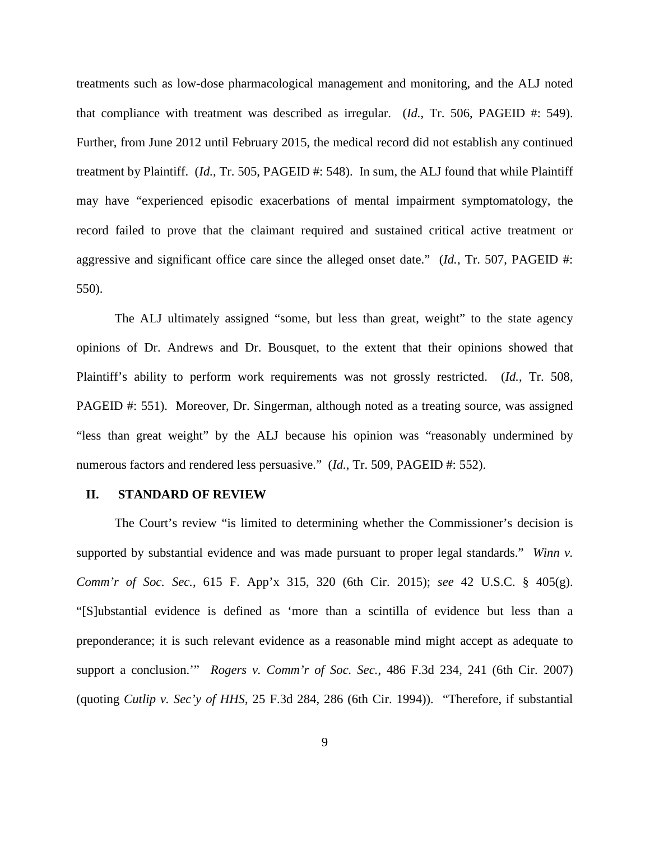treatments such as low-dose pharmacological management and monitoring, and the ALJ noted that compliance with treatment was described as irregular. (*Id.*, Tr. 506, PAGEID #: 549). Further, from June 2012 until February 2015, the medical record did not establish any continued treatment by Plaintiff. (*Id.*, Tr. 505, PAGEID #: 548). In sum, the ALJ found that while Plaintiff may have "experienced episodic exacerbations of mental impairment symptomatology, the record failed to prove that the claimant required and sustained critical active treatment or aggressive and significant office care since the alleged onset date." (*Id.*, Tr. 507, PAGEID #: 550).

The ALJ ultimately assigned "some, but less than great, weight" to the state agency opinions of Dr. Andrews and Dr. Bousquet, to the extent that their opinions showed that Plaintiff's ability to perform work requirements was not grossly restricted. (*Id.*, Tr. 508, PAGEID #: 551). Moreover, Dr. Singerman, although noted as a treating source, was assigned "less than great weight" by the ALJ because his opinion was "reasonably undermined by numerous factors and rendered less persuasive." (*Id.*, Tr. 509, PAGEID #: 552).

### **II. STANDARD OF REVIEW**

The Court's review "is limited to determining whether the Commissioner's decision is supported by substantial evidence and was made pursuant to proper legal standards." *Winn v. Comm'r of Soc. Sec.*, 615 F. App'x 315, 320 (6th Cir. 2015); *see* 42 U.S.C. § 405(g). "[S]ubstantial evidence is defined as 'more than a scintilla of evidence but less than a preponderance; it is such relevant evidence as a reasonable mind might accept as adequate to support a conclusion.'" *Rogers v. Comm'r of Soc. Sec.*, 486 F.3d 234, 241 (6th Cir. 2007) (quoting *Cutlip v. Sec'y of HHS*, 25 F.3d 284, 286 (6th Cir. 1994)). "Therefore, if substantial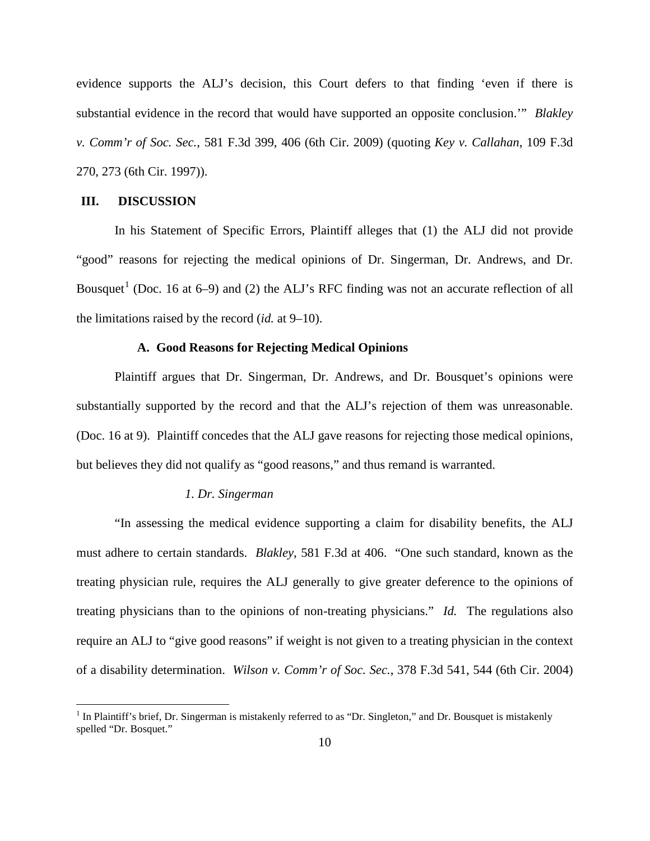evidence supports the ALJ's decision, this Court defers to that finding 'even if there is substantial evidence in the record that would have supported an opposite conclusion.'" *Blakley v. Comm'r of Soc. Sec.*, 581 F.3d 399, 406 (6th Cir. 2009) (quoting *Key v. Callahan*, 109 F.3d 270, 273 (6th Cir. 1997)).

### **III. DISCUSSION**

In his Statement of Specific Errors, Plaintiff alleges that (1) the ALJ did not provide "good" reasons for rejecting the medical opinions of Dr. Singerman, Dr. Andrews, and Dr. Bousquet<sup>[1](#page-9-0)</sup> (Doc. 16 at 6–9) and (2) the ALJ's RFC finding was not an accurate reflection of all the limitations raised by the record (*id.* at 9–10).

# **A. Good Reasons for Rejecting Medical Opinions**

Plaintiff argues that Dr. Singerman, Dr. Andrews, and Dr. Bousquet's opinions were substantially supported by the record and that the ALJ's rejection of them was unreasonable. (Doc. 16 at 9). Plaintiff concedes that the ALJ gave reasons for rejecting those medical opinions, but believes they did not qualify as "good reasons," and thus remand is warranted.

# *1. Dr. Singerman*

"In assessing the medical evidence supporting a claim for disability benefits, the ALJ must adhere to certain standards. *Blakley*, 581 F.3d at 406. "One such standard, known as the treating physician rule, requires the ALJ generally to give greater deference to the opinions of treating physicians than to the opinions of non-treating physicians." *Id.* The regulations also require an ALJ to "give good reasons" if weight is not given to a treating physician in the context of a disability determination. *Wilson v. Comm'r of Soc. Sec.*, 378 F.3d 541, 544 (6th Cir. 2004)

<span id="page-9-0"></span>In Plaintiff's brief, Dr. Singerman is mistakenly referred to as "Dr. Singleton," and Dr. Bousquet is mistakenly spelled "Dr. Bosquet."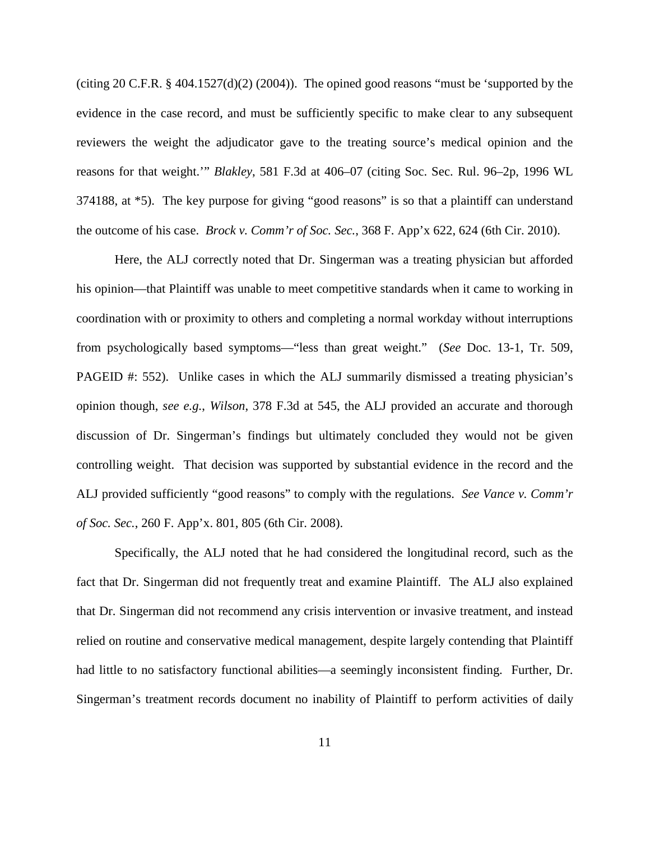(citing 20 C.F.R. § 404.1527(d)(2) (2004)). The opined good reasons "must be 'supported by the evidence in the case record, and must be sufficiently specific to make clear to any subsequent reviewers the weight the adjudicator gave to the treating source's medical opinion and the reasons for that weight.'" *Blakley*, 581 F.3d at 406–07 (citing Soc. Sec. Rul. 96–2p, 1996 WL 374188, at \*5). The key purpose for giving "good reasons" is so that a plaintiff can understand the outcome of his case. *Brock v. Comm'r of Soc. Sec.*, 368 F. App'x 622, 624 (6th Cir. 2010).

Here, the ALJ correctly noted that Dr. Singerman was a treating physician but afforded his opinion—that Plaintiff was unable to meet competitive standards when it came to working in coordination with or proximity to others and completing a normal workday without interruptions from psychologically based symptoms—"less than great weight." (*See* Doc. 13-1, Tr. 509, PAGEID #: 552). Unlike cases in which the ALJ summarily dismissed a treating physician's opinion though, *see e.g.*, *Wilson*, 378 F.3d at 545, the ALJ provided an accurate and thorough discussion of Dr. Singerman's findings but ultimately concluded they would not be given controlling weight. That decision was supported by substantial evidence in the record and the ALJ provided sufficiently "good reasons" to comply with the regulations. *See Vance v. Comm'r of Soc. Sec.*, 260 F. App'x. 801, 805 (6th Cir. 2008).

Specifically, the ALJ noted that he had considered the longitudinal record, such as the fact that Dr. Singerman did not frequently treat and examine Plaintiff. The ALJ also explained that Dr. Singerman did not recommend any crisis intervention or invasive treatment, and instead relied on routine and conservative medical management, despite largely contending that Plaintiff had little to no satisfactory functional abilities—a seemingly inconsistent finding. Further, Dr. Singerman's treatment records document no inability of Plaintiff to perform activities of daily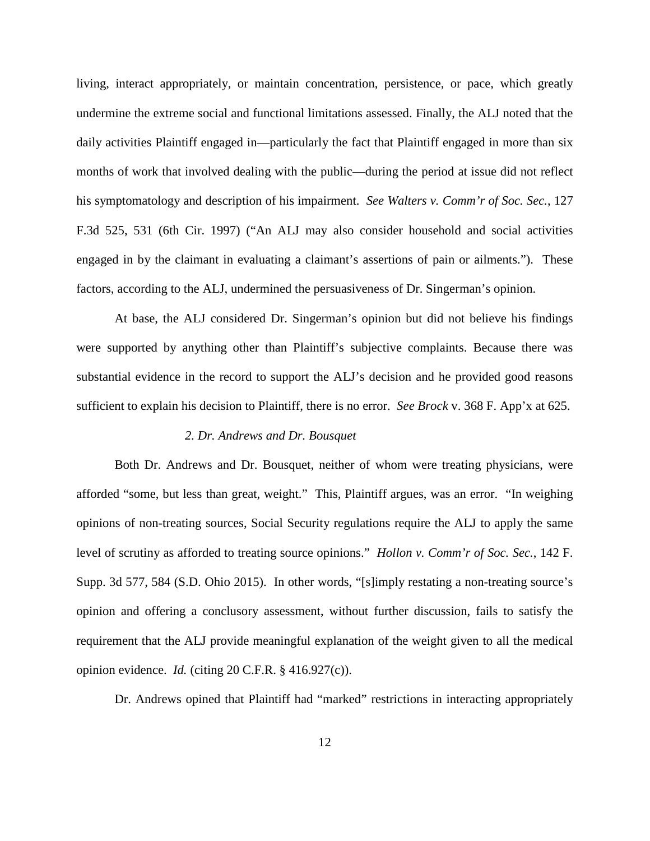living, interact appropriately, or maintain concentration, persistence, or pace, which greatly undermine the extreme social and functional limitations assessed. Finally, the ALJ noted that the daily activities Plaintiff engaged in—particularly the fact that Plaintiff engaged in more than six months of work that involved dealing with the public—during the period at issue did not reflect his symptomatology and description of his impairment. *See Walters v. Comm'r of Soc. Sec.*, 127 F.3d 525, 531 (6th Cir. 1997) ("An ALJ may also consider household and social activities engaged in by the claimant in evaluating a claimant's assertions of pain or ailments."). These factors, according to the ALJ, undermined the persuasiveness of Dr. Singerman's opinion.

At base, the ALJ considered Dr. Singerman's opinion but did not believe his findings were supported by anything other than Plaintiff's subjective complaints. Because there was substantial evidence in the record to support the ALJ's decision and he provided good reasons sufficient to explain his decision to Plaintiff, there is no error. *See Brock* v. 368 F. App'x at 625.

## *2. Dr. Andrews and Dr. Bousquet*

Both Dr. Andrews and Dr. Bousquet, neither of whom were treating physicians, were afforded "some, but less than great, weight." This, Plaintiff argues, was an error. "In weighing opinions of non-treating sources, Social Security regulations require the ALJ to apply the same level of scrutiny as afforded to treating source opinions." *Hollon v. Comm'r of Soc. Sec.*, 142 F. Supp. 3d 577, 584 (S.D. Ohio 2015). In other words, "[s]imply restating a non-treating source's opinion and offering a conclusory assessment, without further discussion, fails to satisfy the requirement that the ALJ provide meaningful explanation of the weight given to all the medical opinion evidence. *Id.* (citing 20 C.F.R. § 416.927(c)).

Dr. Andrews opined that Plaintiff had "marked" restrictions in interacting appropriately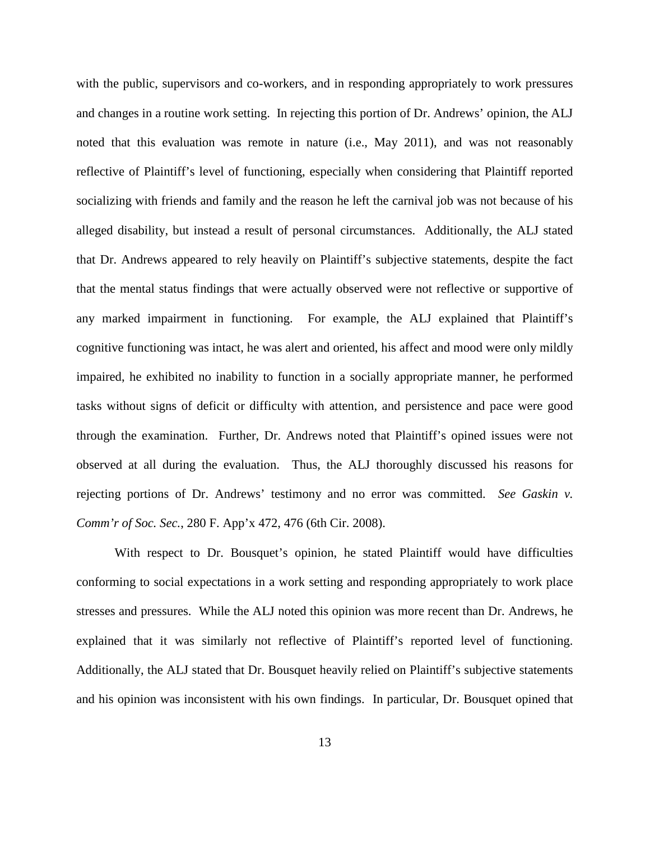with the public, supervisors and co-workers, and in responding appropriately to work pressures and changes in a routine work setting. In rejecting this portion of Dr. Andrews' opinion, the ALJ noted that this evaluation was remote in nature (i.e., May 2011), and was not reasonably reflective of Plaintiff's level of functioning, especially when considering that Plaintiff reported socializing with friends and family and the reason he left the carnival job was not because of his alleged disability, but instead a result of personal circumstances. Additionally, the ALJ stated that Dr. Andrews appeared to rely heavily on Plaintiff's subjective statements, despite the fact that the mental status findings that were actually observed were not reflective or supportive of any marked impairment in functioning. For example, the ALJ explained that Plaintiff's cognitive functioning was intact, he was alert and oriented, his affect and mood were only mildly impaired, he exhibited no inability to function in a socially appropriate manner, he performed tasks without signs of deficit or difficulty with attention, and persistence and pace were good through the examination. Further, Dr. Andrews noted that Plaintiff's opined issues were not observed at all during the evaluation. Thus, the ALJ thoroughly discussed his reasons for rejecting portions of Dr. Andrews' testimony and no error was committed. *See Gaskin v. Comm'r of Soc. Sec.*, 280 F. App'x 472, 476 (6th Cir. 2008).

With respect to Dr. Bousquet's opinion, he stated Plaintiff would have difficulties conforming to social expectations in a work setting and responding appropriately to work place stresses and pressures. While the ALJ noted this opinion was more recent than Dr. Andrews, he explained that it was similarly not reflective of Plaintiff's reported level of functioning. Additionally, the ALJ stated that Dr. Bousquet heavily relied on Plaintiff's subjective statements and his opinion was inconsistent with his own findings. In particular, Dr. Bousquet opined that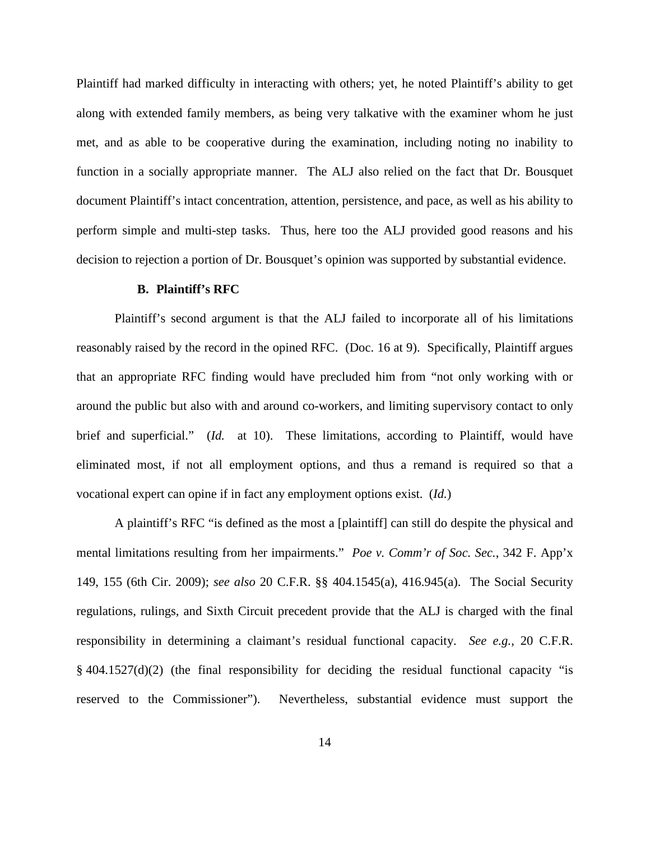Plaintiff had marked difficulty in interacting with others; yet, he noted Plaintiff's ability to get along with extended family members, as being very talkative with the examiner whom he just met, and as able to be cooperative during the examination, including noting no inability to function in a socially appropriate manner. The ALJ also relied on the fact that Dr. Bousquet document Plaintiff's intact concentration, attention, persistence, and pace, as well as his ability to perform simple and multi-step tasks. Thus, here too the ALJ provided good reasons and his decision to rejection a portion of Dr. Bousquet's opinion was supported by substantial evidence.

### **B. Plaintiff's RFC**

Plaintiff's second argument is that the ALJ failed to incorporate all of his limitations reasonably raised by the record in the opined RFC. (Doc. 16 at 9). Specifically, Plaintiff argues that an appropriate RFC finding would have precluded him from "not only working with or around the public but also with and around co-workers, and limiting supervisory contact to only brief and superficial." (*Id.* at 10). These limitations, according to Plaintiff, would have eliminated most, if not all employment options, and thus a remand is required so that a vocational expert can opine if in fact any employment options exist. (*Id.*)

A plaintiff's RFC "is defined as the most a [plaintiff] can still do despite the physical and mental limitations resulting from her impairments." *Poe v. Comm'r of Soc. Sec.*, 342 F. App'x 149, 155 (6th Cir. 2009); *see also* 20 C.F.R. §§ 404.1545(a), 416.945(a). The Social Security regulations, rulings, and Sixth Circuit precedent provide that the ALJ is charged with the final responsibility in determining a claimant's residual functional capacity. *See e.g.*, 20 C.F.R. § 404.1527(d)(2) (the final responsibility for deciding the residual functional capacity "is reserved to the Commissioner"). Nevertheless, substantial evidence must support the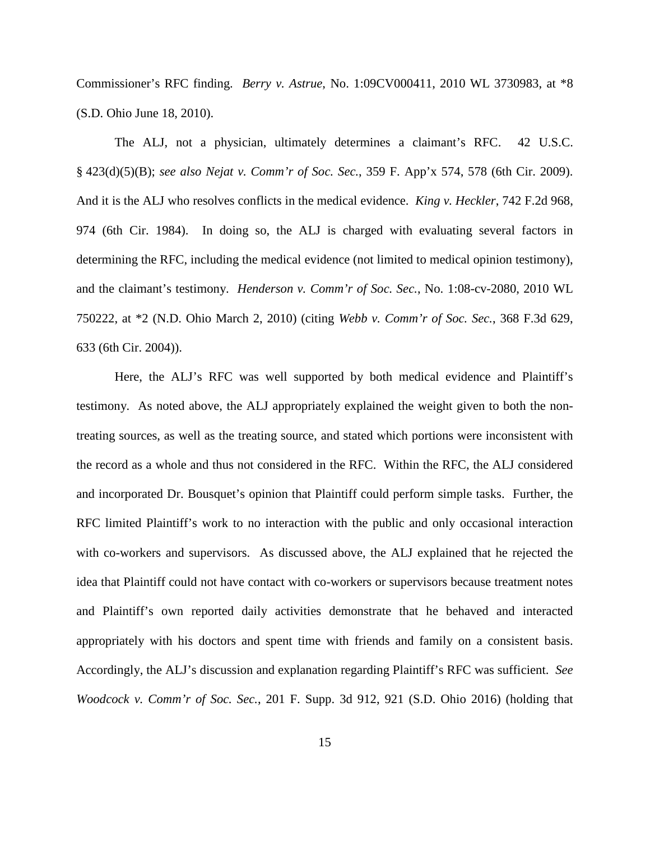Commissioner's RFC finding. *Berry v. Astrue*, No. 1:09CV000411, 2010 WL 3730983, at \*8 (S.D. Ohio June 18, 2010).

The ALJ, not a physician, ultimately determines a claimant's RFC. 42 U.S.C. § 423(d)(5)(B); *see also Nejat v. Comm'r of Soc. Sec.*, 359 F. App'x 574, 578 (6th Cir. 2009). And it is the ALJ who resolves conflicts in the medical evidence. *King v. Heckler*, 742 F.2d 968, 974 (6th Cir. 1984). In doing so, the ALJ is charged with evaluating several factors in determining the RFC, including the medical evidence (not limited to medical opinion testimony), and the claimant's testimony. *Henderson v. Comm'r of Soc. Sec.*, No. 1:08-cv-2080, 2010 WL 750222, at \*2 (N.D. Ohio March 2, 2010) (citing *Webb v. Comm'r of Soc. Sec.*, 368 F.3d 629, 633 (6th Cir. 2004)).

Here, the ALJ's RFC was well supported by both medical evidence and Plaintiff's testimony. As noted above, the ALJ appropriately explained the weight given to both the nontreating sources, as well as the treating source, and stated which portions were inconsistent with the record as a whole and thus not considered in the RFC. Within the RFC, the ALJ considered and incorporated Dr. Bousquet's opinion that Plaintiff could perform simple tasks. Further, the RFC limited Plaintiff's work to no interaction with the public and only occasional interaction with co-workers and supervisors. As discussed above, the ALJ explained that he rejected the idea that Plaintiff could not have contact with co-workers or supervisors because treatment notes and Plaintiff's own reported daily activities demonstrate that he behaved and interacted appropriately with his doctors and spent time with friends and family on a consistent basis. Accordingly, the ALJ's discussion and explanation regarding Plaintiff's RFC was sufficient. *See Woodcock v. Comm'r of Soc. Sec.*, 201 F. Supp. 3d 912, 921 (S.D. Ohio 2016) (holding that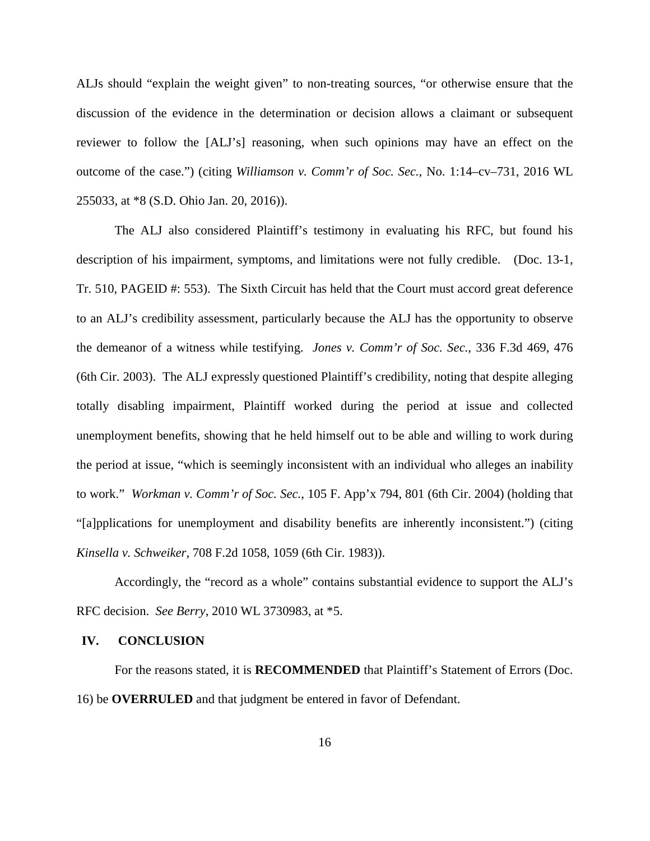ALJs should "explain the weight given" to non-treating sources, "or otherwise ensure that the discussion of the evidence in the determination or decision allows a claimant or subsequent reviewer to follow the [ALJ's] reasoning, when such opinions may have an effect on the outcome of the case.") (citing *Williamson v. Comm'r of Soc. Sec.*, No. 1:14–cv–731, 2016 WL 255033, at \*8 (S.D. Ohio Jan. 20, 2016)).

The ALJ also considered Plaintiff's testimony in evaluating his RFC, but found his description of his impairment, symptoms, and limitations were not fully credible. (Doc. 13-1, Tr. 510, PAGEID #: 553). The Sixth Circuit has held that the Court must accord great deference to an ALJ's credibility assessment, particularly because the ALJ has the opportunity to observe the demeanor of a witness while testifying. *Jones v. Comm'r of Soc. Sec.*, 336 F.3d 469, 476 (6th Cir. 2003). The ALJ expressly questioned Plaintiff's credibility, noting that despite alleging totally disabling impairment, Plaintiff worked during the period at issue and collected unemployment benefits, showing that he held himself out to be able and willing to work during the period at issue, "which is seemingly inconsistent with an individual who alleges an inability to work." *Workman v. Comm'r of Soc. Sec.*, 105 F. App'x 794, 801 (6th Cir. 2004) (holding that "[a]pplications for unemployment and disability benefits are inherently inconsistent.") (citing *Kinsella v. Schweiker*, 708 F.2d 1058, 1059 (6th Cir. 1983)).

Accordingly, the "record as a whole" contains substantial evidence to support the ALJ's RFC decision. *See Berry*, 2010 WL 3730983, at \*5.

### **IV. CONCLUSION**

For the reasons stated, it is **RECOMMENDED** that Plaintiff's Statement of Errors (Doc. 16) be **OVERRULED** and that judgment be entered in favor of Defendant.